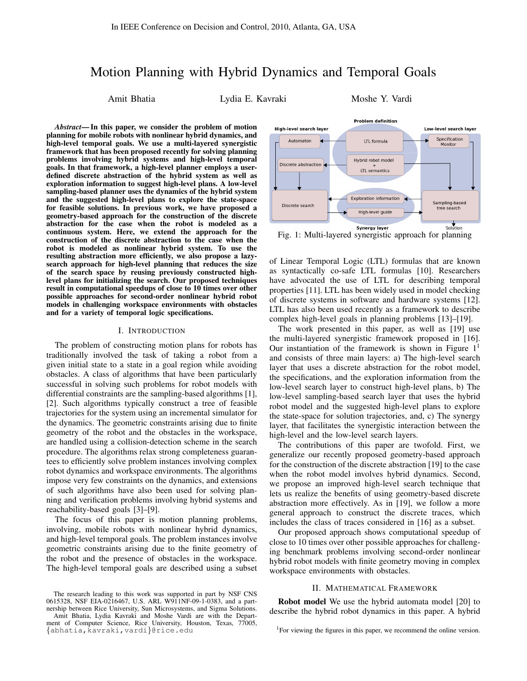# Motion Planning with Hybrid Dynamics and Temporal Goals

Amit Bhatia **Lydia E. Kavraki Moshe Y. Vardi** 

*Abstract*— In this paper, we consider the problem of motion planning for mobile robots with nonlinear hybrid dynamics, and high-level temporal goals. We use a multi-layered synergistic framework that has been proposed recently for solving planning problems involving hybrid systems and high-level temporal goals. In that framework, a high-level planner employs a userdefined discrete abstraction of the hybrid system as well as exploration information to suggest high-level plans. A low-level sampling-based planner uses the dynamics of the hybrid system and the suggested high-level plans to explore the state-space for feasible solutions. In previous work, we have proposed a geometry-based approach for the construction of the discrete abstraction for the case when the robot is modeled as a continuous system. Here, we extend the approach for the construction of the discrete abstraction to the case when the robot is modeled as nonlinear hybrid system. To use the resulting abstraction more efficiently, we also propose a lazysearch approach for high-level planning that reduces the size of the search space by reusing previously constructed highlevel plans for initializing the search. Our proposed techniques result in computational speedups of close to 10 times over other possible approaches for second-order nonlinear hybrid robot models in challenging workspace environments with obstacles and for a variety of temporal logic specifications.

## I. INTRODUCTION

The problem of constructing motion plans for robots has traditionally involved the task of taking a robot from a given initial state to a state in a goal region while avoiding obstacles. A class of algorithms that have been particularly successful in solving such problems for robot models with differential constraints are the sampling-based algorithms [1], [2]. Such algorithms typically construct a tree of feasible trajectories for the system using an incremental simulator for the dynamics. The geometric constraints arising due to finite geometry of the robot and the obstacles in the workspace, are handled using a collision-detection scheme in the search procedure. The algorithms relax strong completeness guarantees to efficiently solve problem instances involving complex robot dynamics and workspace environments. The algorithms impose very few constraints on the dynamics, and extensions of such algorithms have also been used for solving planning and verification problems involving hybrid systems and reachability-based goals [3]–[9].

The focus of this paper is motion planning problems, involving, mobile robots with nonlinear hybrid dynamics, and high-level temporal goals. The problem instances involve geometric constraints arising due to the finite geometry of the robot and the presence of obstacles in the workspace. The high-level temporal goals are described using a subset



Fig. 1: Multi-layered synergistic approach for planning

of Linear Temporal Logic (LTL) formulas that are known as syntactically co-safe LTL formulas [10]. Researchers have advocated the use of LTL for describing temporal properties [11]. LTL has been widely used in model checking of discrete systems in software and hardware systems [12]. LTL has also been used recently as a framework to describe complex high-level goals in planning problems [13]–[19].

The work presented in this paper, as well as [19] use the multi-layered synergistic framework proposed in [16]. Our instantiation of the framework is shown in Figure  $1<sup>1</sup>$ and consists of three main layers: a) The high-level search layer that uses a discrete abstraction for the robot model, the specifications, and the exploration information from the low-level search layer to construct high-level plans, b) The low-level sampling-based search layer that uses the hybrid robot model and the suggested high-level plans to explore the state-space for solution trajectories, and, c) The synergy layer, that facilitates the synergistic interaction between the high-level and the low-level search layers.

The contributions of this paper are twofold. First, we generalize our recently proposed geometry-based approach for the construction of the discrete abstraction [19] to the case when the robot model involves hybrid dynamics. Second, we propose an improved high-level search technique that lets us realize the benefits of using geometry-based discrete abstraction more effectively. As in [19], we follow a more general approach to construct the discrete traces, which includes the class of traces considered in [16] as a subset.

Our proposed approach shows computational speedup of close to 10 times over other possible approaches for challenging benchmark problems involving second-order nonlinear hybrid robot models with finite geometry moving in complex workspace environments with obstacles.

# II. MATHEMATICAL FRAMEWORK

Robot model We use the hybrid automata model [20] to describe the hybrid robot dynamics in this paper. A hybrid

The research leading to this work was supported in part by NSF CNS 0615328, NSF EIA-0216467, U.S. ARL W911NF-09-1-0383, and a partnership between Rice University, Sun Microsystems, and Sigma Solutions.

Amit Bhatia, Lydia Kavraki and Moshe Vardi are with the Department of Computer Science, Rice University, Houston, Texas, 77005, {abhatia,kavraki,vardi}@rice.edu

<sup>&</sup>lt;sup>1</sup>For viewing the figures in this paper, we recommend the online version.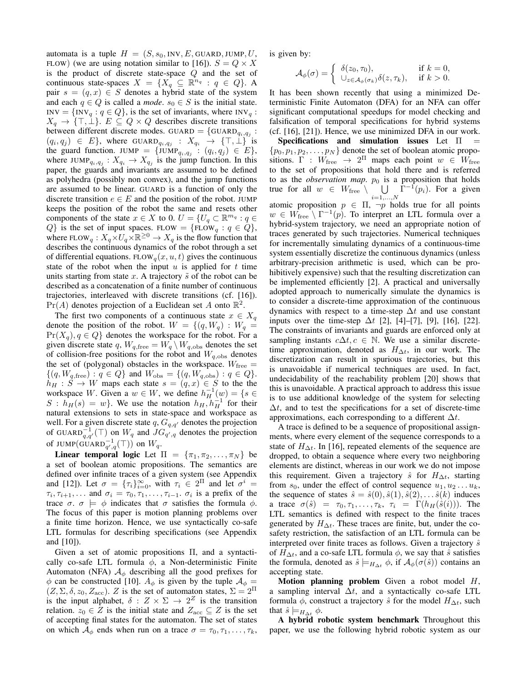automata is a tuple  $H = (S, s_0, \text{INV}, E, \text{GUARD}, \text{JUMP}, U,$ FLOW) (we are using notation similar to [16]).  $S = Q \times X$ is the product of discrete state-space Q and the set of continuous state-spaces  $X = \{X_q \subseteq \mathbb{R}^{n_q} : q \in Q\}$ . A pair  $s = (q, x) \in S$  denotes a hybrid state of the system and each  $q \in Q$  is called a *mode*.  $s_0 \in S$  is the initial state.  $INV = \{INV_q : q \in Q\}$ , is the set of invariants, where  $INV_q$ :  $X_q \to \{\top, \bot\}$ .  $E \subseteq Q \times Q$  describes discrete transitions between different discrete modes. GUARD = {GUARD<sub>qi,qj</sub> :  $(q_i, q_j) \in E$ , where GUARD $q_i, q_j : X_{q_i} \to {\top, \bot}$  is the guard function. JUMP = {JUMP<sub>qi,qj</sub> :  $(q_i, q_j) \in E$ }, where  $JUMP_{q_i,q_j}: X_{q_i} \to X_{q_j}$  is the jump function. In this paper, the guards and invariants are assumed to be defined as polyhedra (possibly non convex), and the jump functions are assumed to be linear. GUARD is a function of only the discrete transition  $e \in E$  and the position of the robot. JUMP keeps the position of the robot the same and resets other components of the state  $x \in X$  to 0.  $U = \{U_q \subset \mathbb{R}^{m_q} : q \in \mathbb{R}^q\}$  $Q$ } is the set of input spaces. FLOW = {FLOW<sub>q</sub>:  $q \in Q$ }, where  $FLOW_q: X_q \times U_q \times \mathbb{R}^{\geq 0} \to X_q$  is the flow function that describes the continuous dynamics of the robot through a set of differential equations. FLOW<sub>q</sub> $(x, u, t)$  gives the continuous state of the robot when the input  $u$  is applied for  $t$  time units starting from state x. A trajectory  $\tilde{s}$  of the robot can be described as a concatenation of a finite number of continuous trajectories, interleaved with discrete transitions (cf. [16]).  $Pr(A)$  denotes projection of a Euclidean set A onto  $\mathbb{R}^2$ .

The first two components of a continuous state  $x \in X_q$ denote the position of the robot.  $W = \{(q, W_q) : W_q =$  $Pr(X_q), q \in Q$  denotes the workspace for the robot. For a given discrete state q,  $W_{q,\text{free}} = W_q \setminus W_{q,\text{obs}}$  denotes the set of collision-free positions for the robot and  $W_{q,obs}$  denotes the set of (polygonal) obstacles in the workspace.  $W_{\text{free}} =$  $\{(q, W_{q, \text{free}}) : q \in Q\}$  and  $W_{\text{obs}} = \{(q, W_{q, \text{obs}}) : q \in Q\}.$  $h_H : S \to W$  maps each state  $s = (q, x) \in S$  to the the workspace W. Given a  $w \in W$ , we define  $h^{-1}_H(w) = \{ s \in$  $S : h_H(s) = w$ . We use the notation  $h_H, h_H^{-1}$  for their natural extensions to sets in state-space and workspace as well. For a given discrete state  $q$ ,  $G_{q,q'}$  denotes the projection of GUARD $_{q,q'}^{-1}(\top)$  on  $W_q$  and  $JG_{q',q}$  denotes the projection of JUMP(GUARD $_{q',q}^{-1}(\top)$ ) on  $W_q$ .

Linear temporal logic Let  $\Pi = {\pi_1, \pi_2, ..., \pi_N}$  be a set of boolean atomic propositions. The semantics are defined over infinite traces of a given system (see Appendix and [12]). Let  $\sigma = {\tau_i}_{i=0}^{\infty}$ , with  $\tau_i \in 2^{\Pi}$  and let  $\sigma^i =$  $\tau_i, \tau_{i+1}, \ldots$  and  $\sigma_i = \tau_0, \tau_1, \ldots, \tau_{i-1}, \sigma_i$  is a prefix of the trace  $\sigma$ .  $\sigma \models \phi$  indicates that  $\sigma$  satisfies the formula  $\phi$ . The focus of this paper is motion planning problems over a finite time horizon. Hence, we use syntactically co-safe LTL formulas for describing specifications (see Appendix and [10]).

Given a set of atomic propositions Π, and a syntactically co-safe LTL formula  $\phi$ , a Non-deterministic Finite Automaton (NFA)  $A_{\phi}$  describing all the good prefixes for  $\phi$  can be constructed [10].  $A_{\phi}$  is given by the tuple  $A_{\phi}$  =  $(Z, \Sigma, \delta, z_0, Z_{\text{acc}})$ . Z is the set of automaton states,  $\Sigma = 2^{\Pi}$ is the input alphabet,  $\delta : Z \times \Sigma \to 2^Z$  is the transition relation.  $z_0 \in Z$  is the initial state and  $Z_{\text{acc}} \subseteq Z$  is the set of accepting final states for the automaton. The set of states on which  $\mathcal{A}_{\phi}$  ends when run on a trace  $\sigma = \tau_0, \tau_1, \ldots, \tau_k$ ,

is given by:

$$
\mathcal{A}_{\phi}(\sigma) = \begin{cases} \delta(z_0, \tau_0), & \text{if } k = 0, \\ \cup_{z \in \mathcal{A}_{\phi}(\sigma_k)} \delta(z, \tau_k), & \text{if } k > 0. \end{cases}
$$

It has been shown recently that using a minimized Deterministic Finite Automaton (DFA) for an NFA can offer significant computational speedups for model checking and falsification of temporal specifications for hybrid systems (cf. [16], [21]). Hence, we use minimized DFA in our work.

Specifications and simulation issues Let  $\Pi$  =  $\{p_0, p_1, p_2, \ldots, p_N\}$  denote the set of boolean atomic propositions.  $\Gamma : W_{\text{free}} \to 2^{\Pi}$  maps each point  $w \in W_{\text{free}}$ to the set of propositions that hold there and is referred to as the *observation map*.  $p_0$  is a proposition that holds true for all  $w \in W_{\text{free}} \setminus \cup$  $_{i=1,...,N}$  $\Gamma^{-1}(p_i)$ . For a given atomic proposition  $p \in \Pi$ ,  $\neg p$  holds true for all points  $w \in W_{\text{free}} \setminus \Gamma^{-1}(p)$ . To interpret an LTL formula over a hybrid-system trajectory, we need an appropriate notion of traces generated by such trajectories. Numerical techniques for incrementally simulating dynamics of a continuous-time system essentially discretize the continuous dynamics (unless arbitrary-precision arithmetic is used, which can be prohibitively expensive) such that the resulting discretization can be implemented efficiently [2]. A practical and universally adopted approach to numerically simulate the dynamics is to consider a discrete-time approximation of the continuous dynamics with respect to a time-step  $\Delta t$  and use constant inputs over the time-step  $\Delta t$  [2], [4]–[7], [9], [16], [22]. The constraints of invariants and guards are enforced only at sampling instants  $c\Delta t$ ,  $c \in \mathbb{N}$ . We use a similar discretetime approximation, denoted as  $H_{\Delta t}$ , in our work. The discretization can result in spurious trajectories, but this is unavoidable if numerical techniques are used. In fact, undecidability of the reachability problem [20] shows that this is unavoidable. A practical approach to address this issue is to use additional knowledge of the system for selecting  $\Delta t$ , and to test the specifications for a set of discrete-time approximations, each corresponding to a different  $\Delta t$ .

A trace is defined to be a sequence of propositional assignments, where every element of the sequence corresponds to a state of  $H_{\Delta t}$ . In [16], repeated elements of the sequence are dropped, to obtain a sequence where every two neighboring elements are distinct, whereas in our work we do not impose this requirement. Given a trajectory  $\hat{s}$  for  $H_{\Delta t}$ , starting from  $s_0$ , under the effect of control sequence  $u_1, u_2 \ldots u_k$ , the sequence of states  $\hat{s} = \hat{s}(0), \hat{s}(1), \hat{s}(2), \dots, \hat{s}(k)$  induces a trace  $\sigma(\hat{s}) = \tau_0, \tau_1, \ldots, \tau_k, \tau_i = \Gamma(h_H(\hat{s}(i)))$ . The LTL semantics is defined with respect to the finite traces generated by  $H_{\Delta t}$ . These traces are finite, but, under the cosafety restriction, the satisfaction of an LTL formula can be interpreted over finite traces as follows. Given a trajectory  $\hat{s}$ of  $H_{\Delta t}$ , and a co-safe LTL formula  $\phi$ , we say that  $\hat{s}$  satisfies the formula, denoted as  $\hat{s} \models_{H_{\Delta t}} \phi$ , if  $\mathcal{A}_{\phi}(\sigma(\hat{s}))$  contains an accepting state.

Motion planning problem Given a robot model  $H$ , a sampling interval  $\Delta t$ , and a syntactically co-safe LTL formula  $\phi$ , construct a trajectory  $\hat{s}$  for the model  $H_{\Delta t}$ , such that  $\hat{s} \models_{H_{\Delta t}} \phi$ .

A hybrid robotic system benchmark Throughout this paper, we use the following hybrid robotic system as our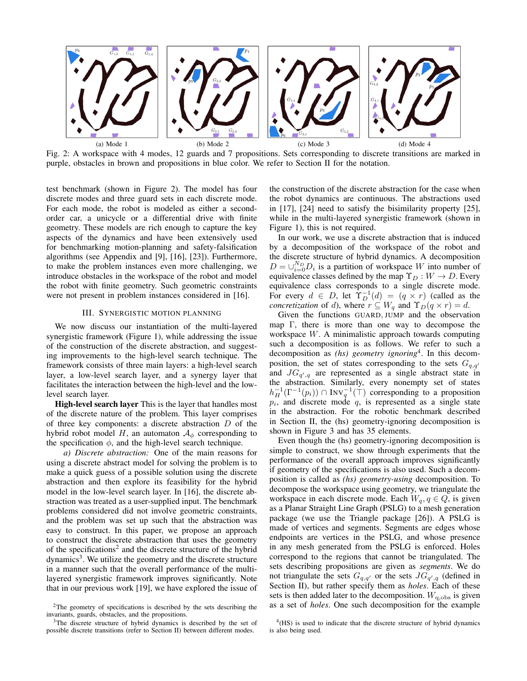

Fig. 2: A workspace with 4 modes, 12 guards and 7 propositions. Sets corresponding to discrete transitions are marked in purple, obstacles in brown and propositions in blue color. We refer to Section II for the notation.

test benchmark (shown in Figure 2). The model has four discrete modes and three guard sets in each discrete mode. For each mode, the robot is modeled as either a secondorder car, a unicycle or a differential drive with finite geometry. These models are rich enough to capture the key aspects of the dynamics and have been extensively used for benchmarking motion-planning and safety-falsification algorithms (see Appendix and [9], [16], [23]). Furthermore, to make the problem instances even more challenging, we introduce obstacles in the workspace of the robot and model the robot with finite geometry. Such geometric constraints were not present in problem instances considered in [16].

## III. SYNERGISTIC MOTION PLANNING

We now discuss our instantiation of the multi-layered synergistic framework (Figure 1), while addressing the issue of the construction of the discrete abstraction, and suggesting improvements to the high-level search technique. The framework consists of three main layers: a high-level search layer, a low-level search layer, and a synergy layer that facilitates the interaction between the high-level and the lowlevel search layer.

High-level search layer This is the layer that handles most of the discrete nature of the problem. This layer comprises of three key components: a discrete abstraction  $D$  of the hybrid robot model H, an automaton  $A_{\phi}$  corresponding to the specification  $\phi$ , and the high-level search technique.

*a) Discrete abstraction:* One of the main reasons for using a discrete abstract model for solving the problem is to make a quick guess of a possible solution using the discrete abstraction and then explore its feasibility for the hybrid model in the low-level search layer. In [16], the discrete abstraction was treated as a user-supplied input. The benchmark problems considered did not involve geometric constraints, and the problem was set up such that the abstraction was easy to construct. In this paper, we propose an approach to construct the discrete abstraction that uses the geometry of the specifications<sup>2</sup> and the discrete structure of the hybrid dynamics<sup>3</sup>. We utilize the geometry and the discrete structure in a manner such that the overall performance of the multilayered synergistic framework improves significantly. Note that in our previous work [19], we have explored the issue of

the construction of the discrete abstraction for the case when the robot dynamics are continuous. The abstractions used in [17], [24] need to satisfy the bisimilarity property [25], while in the multi-layered synergistic framework (shown in Figure 1), this is not required.

In our work, we use a discrete abstraction that is induced by a decomposition of the workspace of the robot and the discrete structure of hybrid dynamics. A decomposition  $D = \bigcup_{i=0}^{N_D} D_i$  is a partition of workspace W into number of equivalence classes defined by the map  $\Upsilon_D : W \to D$ . Every equivalence class corresponds to a single discrete mode. For every  $d \in D$ , let  $\hat{\Upsilon}_D^{-1}(d) = (q \times r)$  (called as the *concretization* of d), where  $r \subseteq W_q$  and  $\Upsilon_D(q \times r) = d$ .

Given the functions GUARD, JUMP and the observation map Γ, there is more than one way to decompose the workspace W. A minimalistic approach towards computing such a decomposition is as follows. We refer to such a decomposition as *(hs) geometry ignoring*<sup>4</sup> . In this decomposition, the set of states corresponding to the sets  $G_{q,q'}$ and  $JG_{q',q}$  are represented as a single abstract state in the abstraction. Similarly, every nonempty set of states  $h_H^{-1}(\Gamma^{-1}(p_i)) \cap Inv_q^{-1}(\top)$  corresponding to a proposition  $p_i$ , and discrete mode  $q$ , is represented as a single state in the abstraction. For the robotic benchmark described in Section II, the (hs) geometry-ignoring decomposition is shown in Figure 3 and has 35 elements.

Even though the (hs) geometry-ignoring decomposition is simple to construct, we show through experiments that the performance of the overall approach improves significantly if geometry of the specifications is also used. Such a decomposition is called as *(hs) geometry-using* decomposition. To decompose the workspace using geometry, we triangulate the workspace in each discrete mode. Each  $W_q, q \in Q$ , is given as a Planar Straight Line Graph (PSLG) to a mesh generation package (we use the Triangle package [26]). A PSLG is made of vertices and segments. Segments are edges whose endpoints are vertices in the PSLG, and whose presence in any mesh generated from the PSLG is enforced. Holes correspond to the regions that cannot be triangulated. The sets describing propositions are given as *segments*. We do not triangulate the sets  $G_{q,q'}$  or the sets  $JG_{q',q}$  (defined in Section II), but rather specify them as *holes*. Each of these sets is then added later to the decomposition.  $W_{q,obs}$  is given as a set of *holes*. One such decomposition for the example

<sup>2</sup>The geometry of specifications is described by the sets describing the invariants, guards, obstacles, and the propositions.

<sup>&</sup>lt;sup>3</sup>The discrete structure of hybrid dynamics is described by the set of possible discrete transitions (refer to Section II) between different modes.

<sup>&</sup>lt;sup>4</sup>(HS) is used to indicate that the discrete structure of hybrid dynamics is also being used.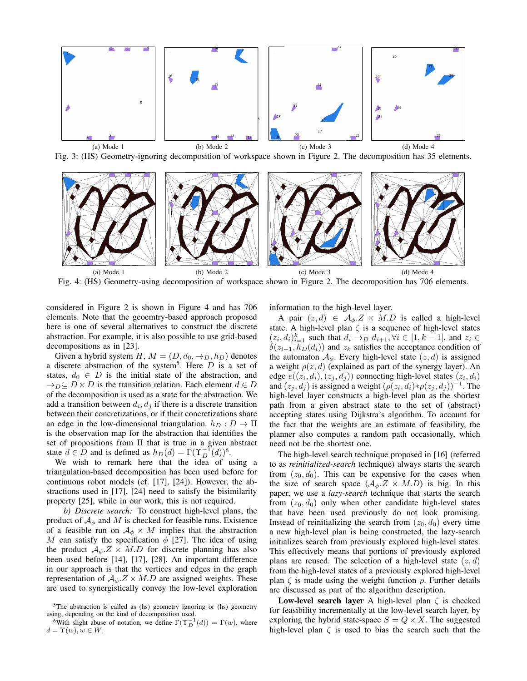

Fig. 3: (HS) Geometry-ignoring decomposition of workspace shown in Figure 2. The decomposition has 35 elements.



Fig. 4: (HS) Geometry-using decomposition of workspace shown in Figure 2. The decomposition has 706 elements.

considered in Figure 2 is shown in Figure 4 and has 706 elements. Note that the geoemtry-based approach proposed here is one of several alternatives to construct the discrete abstraction. For example, it is also possible to use grid-based decompositions as in [23].

Given a hybrid system H,  $M = (D, d_0, \rightarrow_D, h_D)$  denotes a discrete abstraction of the system<sup>5</sup>. Here  $D$  is a set of states,  $d_0 \in D$  is the initial state of the abstraction, and  $\rightarrow_D \subseteq D \times D$  is the transition relation. Each element  $d \in D$ of the decomposition is used as a state for the abstraction. We add a transition between  $d_i, d_j$  if there is a discrete transition between their concretizations, or if their concretizations share an edge in the low-dimensional triangulation.  $h_D : D \to \Pi$ is the observation map for the abstraction that identifies the set of propositions from Π that is true in a given abstract state  $d \in D$  and is defined as  $h_D(d) = \Gamma(\Upsilon_D^{-1}(d))^6$ .

We wish to remark here that the idea of using a triangulation-based decomposition has been used before for continuous robot models (cf. [17], [24]). However, the abstractions used in [17], [24] need to satisfy the bisimilarity property [25], while in our work, this is not required.

*b) Discrete search:* To construct high-level plans, the product of  $A_{\phi}$  and M is checked for feasible runs. Existence of a feasible run on  $A_{\phi} \times M$  implies that the abstraction M can satisfy the specification  $\phi$  [27]. The idea of using the product  $A_{\phi} Z \times M.D$  for discrete planning has also been used before [14], [17], [28]. An important difference in our approach is that the vertices and edges in the graph representation of  $A_{\phi}$ .  $Z \times M.D$  are assigned weights. These are used to synergistically convey the low-level exploration information to the high-level layer.

A pair  $(z, d) \in A_{\phi}.Z \times M.D$  is called a high-level state. A high-level plan  $\zeta$  is a sequence of high-level states  $(z_i, d_i)_{i=1}^k$  such that  $d_i \rightarrow_D d_{i+1}, \forall i \in [1, k-1]$ , and  $z_i \in$  $\delta(z_{i-1}, h_D(d_i))$  and  $z_k$  satisfies the acceptance condition of the automaton  $A_{\phi}$ . Every high-level state  $(z, d)$  is assigned a weight  $\rho(z, d)$  (explained as part of the synergy layer). An edge  $e((z_i, d_i), (z_j, d_j))$  connecting high-level states  $(z_i, d_i)$ and  $(z_j, d_j)$  is assigned a weight  $(\rho(z_i, d_i) * \rho(z_j, d_j))^{-1}$ . The high-level layer constructs a high-level plan as the shortest path from a given abstract state to the set of (abstract) accepting states using Dijkstra's algorithm. To account for the fact that the weights are an estimate of feasibility, the planner also computes a random path occasionally, which need not be the shortest one.

The high-level search technique proposed in [16] (referred to as *reinitialized-search* technique) always starts the search from  $(z_0, d_0)$ . This can be expensive for the cases when the size of search space  $(\mathcal{A}_{\phi}.Z \times M.D)$  is big. In this paper, we use a *lazy-search* technique that starts the search from  $(z_0, d_0)$  only when other candidate high-level states that have been used previously do not look promising. Instead of reinitializing the search from  $(z_0, d_0)$  every time a new high-level plan is being constructed, the lazy-search initializes search from previously explored high-level states. This effectively means that portions of previously explored plans are reused. The selection of a high-level state  $(z, d)$ from the high-level states of a previously explored high-level plan  $\zeta$  is made using the weight function  $\rho$ . Further details are discussed as part of the algorithm description.

Low-level search layer A high-level plan  $\zeta$  is checked for feasibility incrementally at the low-level search layer, by exploring the hybrid state-space  $S = Q \times X$ . The suggested high-level plan  $\zeta$  is used to bias the search such that the

<sup>5</sup>The abstraction is called as (hs) geometry ignoring or (hs) geometry using, depending on the kind of decomposition used.

<sup>&</sup>lt;sup>6</sup>With slight abuse of notation, we define  $\Gamma(\Upsilon_D^{-1}(d)) = \Gamma(w)$ , where  $d = \Upsilon(w), w \in W$ .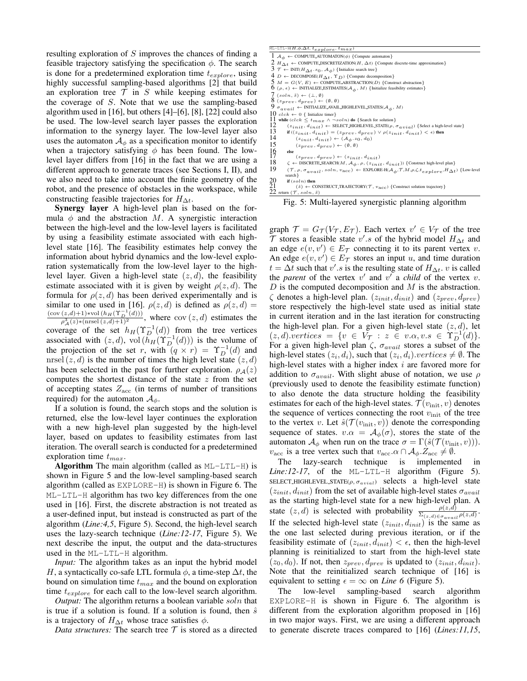resulting exploration of S improves the chances of finding a feasible trajectory satisfying the specification  $\phi$ . The search is done for a predetermined exploration time  $t_{explore}$ , using highly successful sampling-based algorithms [2] that build an exploration tree  $\mathcal T$  in S while keeping estimates for the coverage of S. Note that we use the sampling-based algorithm used in [16], but others [4]–[6], [8], [22] could also be used. The low-level search layer passes the exploration information to the synergy layer. The low-level layer also uses the automaton  $A_{\phi}$  as a specification monitor to identify when a trajectory satisfying  $\phi$  has been found. The lowlevel layer differs from [16] in the fact that we are using a different approach to generate traces (see Sections I, II), and we also need to take into account the finite geometry of the robot, and the presence of obstacles in the workspace, while constructing feasible trajectories for  $H_{\Delta t}$ .

Synergy layer A high-level plan is based on the formula  $\phi$  and the abstraction M. A synergistic interaction between the high-level and the low-level layers is facilitated by using a feasibility estimate associated with each highlevel state [16]. The feasibility estimates help convey the information about hybrid dynamics and the low-level exploration systematically from the low-level layer to the highlevel layer. Given a high-level state  $(z, d)$ , the feasibility estimate associated with it is given by weight  $\rho(z, d)$ . The formula for  $\rho(z, d)$  has been derived experimentally and is similar to one used in [16].  $\rho(z, d)$  is defined as  $\rho(z, d)$  =  $\frac{(\text{cov}(z,d)+1)*\text{vol}(h_H(\Upsilon_D^{-1}(d)))}{\rho^3_{\mathcal{A}}(z)*(\text{nrsel}(z,d)+1)^2}$ , where cov  $(z,d)$  estimates the coverage of the set  $h_H(\Upsilon_D^{-1}(d))$  from the tree vertices associated with  $(z, d)$ , vol $(\tilde{h}_H(\Upsilon_D^{-1}(d)))$  is the volume of the projection of the set r, with  $(q \times r) = \Upsilon_D^{-1}(d)$  and nrsel  $(z, d)$  is the number of times the high level state  $(z, d)$ has been selected in the past for further exploration.  $\rho_A(z)$ computes the shortest distance of the state  $z$  from the set of accepting states  $Z_{\text{acc}}$  (in terms of number of transitions required) for the automaton  $A_{\phi}$ .

If a solution is found, the search stops and the solution is returned, else the low-level layer continues the exploration with a new high-level plan suggested by the high-level layer, based on updates to feasibility estimates from last iteration. The overall search is conducted for a predetermined exploration time  $t_{max}$ .

**Algorithm** The main algorithm (called as  $ML-LTL-H$ ) is shown in Figure 5 and the low-level sampling-based search algorithm (called as EXPLORE-H) is shown in Figure 6. The ML-LTL-H algorithm has two key differences from the one used in [16]. First, the discrete abstraction is not treated as a user-defined input, but instead is constructed as part of the algorithm (*Line:4,5*, Figure 5). Second, the high-level search uses the lazy-search technique (*Line:12-17*, Figure 5). We next describe the input, the output and the data-structures used in the ML-LTL-H algorithm.

*Input:* The algorithm takes as an input the hybrid model H, a syntactically co-safe LTL formula  $\phi$ , a time-step  $\Delta t$ , the bound on simulation time  $t_{max}$  and the bound on exploration time  $t_{explore}$  for each call to the low-level search algorithm.

*Output:* The algorithm returns a boolean variable soln that is true if a solution is found. If a solution is found, then  $\hat{s}$ is a trajectory of  $H_{\Delta t}$  whose trace satisfies  $\phi$ .

*Data structures:* The search tree  $T$  is stored as a directed

| $ML-LTL-H(H,\phi,\Delta t, t_{explore}, t_{max})$                                                                                                                                |
|----------------------------------------------------------------------------------------------------------------------------------------------------------------------------------|
| $1 \mathcal{A}_{\phi} \leftarrow \text{COMPUTE}$ _AUTOMATON( $\phi$ ) {Compute automaton}                                                                                        |
| $2 H_{\Delta t} \leftarrow$ COMPUTE DISCRETIZATION(H, $\Delta t$ ) {Compute discrete-time approximation}                                                                         |
| $\mathfrak{Z} \tau \leftarrow \text{INIT}(H_{\Delta t}.s_0, \mathcal{A}_{\phi})$ {Initialize search tree}                                                                        |
| $\{A \mid D \leftarrow \text{DECOMPOSE}(H \wedge_t, \Upsilon) \}$ {Compute decomposition}                                                                                        |
| $5 M = G(V, E) \leftarrow \text{COMPUTE}$ .ABSTRACTION(D) {Construct abstraction}                                                                                                |
| $6 \ (\rho, \epsilon) \leftarrow \text{INITIALIZE\_ESTIMATES}(\mathcal{A}_{\phi}, M) \ \{\text{Initialize feasibility estimates}\}\$                                             |
| $7 (soln, \tilde{s}) \leftarrow (\perp, \emptyset)$                                                                                                                              |
| $8(z_{prev}, d_{prev}) \leftarrow (\emptyset, \emptyset)$                                                                                                                        |
| $9\sigma_{avail} \leftarrow \text{INITIALIZE}$ -AVAIL-HIGHLEVEL-STATES( $A_{\phi}, M$ )                                                                                          |
| $10 \text{ } c l c k \leftarrow 0 \{ \text{ Initialize timer} \}$                                                                                                                |
| 11 while $(clck \leq t_{max} \wedge \neg soln)$ do {Search for solution}                                                                                                         |
| 12<br>$(z_{init}, d_{init}) \leftarrow \text{SELECT-HIGHLEVEL}\_ \text{STATE}(\rho, \sigma_{avid}) \ \{\text{Select a high-level state}\}$                                       |
| 13<br>if $((z_{init}, d_{init}) = (z_{prev}, d_{prev}) \vee \rho(z_{init}, d_{init}) < \epsilon)$ then                                                                           |
| 14<br>$(z_{init}, d_{init}) \leftarrow (\mathcal{A}_{\phi}.z_0, d_0)$                                                                                                            |
| 15<br>$(z_{prev}, d_{prev}) \leftarrow (\emptyset, \emptyset)$                                                                                                                   |
| $\frac{16}{17}$<br>else                                                                                                                                                          |
| $(z_{prev}, d_{prev}) \leftarrow (z_{init}, d_{init})$                                                                                                                           |
| 18<br>$\zeta \leftarrow$ DISCRETE_SEARCH(M, $\mathcal{A}_{\phi}$ , $\rho$ , $(z_{init}, d_{init})$ ) {Construct high-level plan}                                                 |
| 19<br>$(\mathcal{T}, \rho, \sigma_{avail}, soln, \text{vac}) \leftarrow \text{EXPLORE-H}(\mathcal{A}_{\phi}, \mathcal{T}, M, \rho, \zeta, t_{explore}, H_{\Delta t})$ {Low-level |
| search }                                                                                                                                                                         |
| $^{20}_{21}$<br>if $(soln)$ then                                                                                                                                                 |
| $(\hat{s}) \leftarrow \text{CONSTRUCT}.\text{TRAIECTORY}(\mathcal{T}, v_{\text{acc}})$ {Construct solution trajectory}                                                           |
| 22 return $(\tau, \text{soln}, \tilde{s})$                                                                                                                                       |

Fig. 5: Multi-layered synergistic planning algorithm

graph  $\mathcal{T} = G_{\mathcal{T}}(V_{\mathcal{T}}, E_{\mathcal{T}})$ . Each vertex  $v' \in V_{\mathcal{T}}$  of the tree  $\mathcal T$  stores a feasible state v'.s of the hybrid model  $H_{\Delta t}$  and an edge  $e(v, v') \in E_{\mathcal{T}}$  connecting it to its parent vertex v. An edge  $e(v, v') \in E_{\mathcal{T}}$  stores an input u, and time duration  $t = \Delta t$  such that  $v'.s$  is the resulting state of  $H_{\Delta t}$ . v is called the *parent* of the vertex  $v'$  and  $v'$  a *child* of the vertex  $v$ .  $D$  is the computed decomposition and  $M$  is the abstraction.  $\zeta$  denotes a high-level plan.  $(z_{init}, d_{init})$  and  $(z_{prev}, d_{prev})$ store respectively the high-level state used as initial state in current iteration and in the last iteration for constructing the high-level plan. For a given high-level state  $(z, d)$ , let  $(z, d).vertices = \{v \in V_T : z \in v.\alpha, v.s \in \Upsilon_D^{-1}(d)\}.$ For a given high-level plan  $\zeta$ ,  $\sigma_{avail}$  stores a subset of the high-level states  $(z_i, d_i)$ , such that  $(z_i, d_i)$  vertices  $\neq \emptyset$ . The high-level states with a higher index  $i$  are favored more for addition to  $\sigma_{avail}$ . With slight abuse of notation, we use  $\rho$ (previously used to denote the feasibility estimate function) to also denote the data structure holding the feasibility estimates for each of the high-level states.  $\mathcal{T}(v_{\text{init}}, v)$  denotes the sequence of vertices connecting the root  $v_{\text{init}}$  of the tree to the vertex v. Let  $\hat{s}(\mathcal{T}(v_{\text{init}}, v))$  denote the corresponding sequence of states.  $v.\alpha = \mathcal{A}_{\phi}(\sigma)$ , stores the state of the automaton  $\mathcal{A}_{\phi}$  when run on the trace  $\sigma = \Gamma(\hat{s}(\mathcal{T}(v_{\text{init}}, v))).$  $v_{\text{acc}}$  is a tree vertex such that  $v_{\text{acc}}.\alpha \cap \mathcal{A}_{\phi}.Z_{\text{acc}} \neq \emptyset$ .

The lazy-search technique is implemented in *Line:12-17*, of the  $ML-LTL-H$  algorithm (Figure 5). SELECT HIGHLEVEL STATE( $\rho, \sigma_{avail}$ ) selects a high-level state  $(z_{init}, d_{init})$  from the set of available high-level states  $\sigma_{avail}$ as the starting high-level state for a new high-level plan. A state  $(z, d)$  is selected with probability  $\frac{\rho(z,d)}{\sum_{(z,d)\in\sigma_{avail}} \rho(z,d)}$ . If the selected high-level state  $(z_{init}, d_{init})$  is the same as the one last selected during previous iteration, or if the feasibility estimate of  $(z_{init}, d_{init}) < \epsilon$ , then the high-level planning is reinitialized to start from the high-level state  $(z_0, d_0)$ . If not, then  $z_{prev}, d_{prev}$  is updated to  $(z_{init}, d_{init})$ . Note that the reinitialized search technique of [16] is

equivalent to setting  $\epsilon = \infty$  on *Line 6* (Figure 5).<br>The low-level sampling-based search sampling-based search algorithm EXPLORE-H is shown in Figure 6. The algorithm is different from the exploration algorithm proposed in [16] in two major ways. First, we are using a different approach to generate discrete traces compared to [16] (*Lines:11,15*,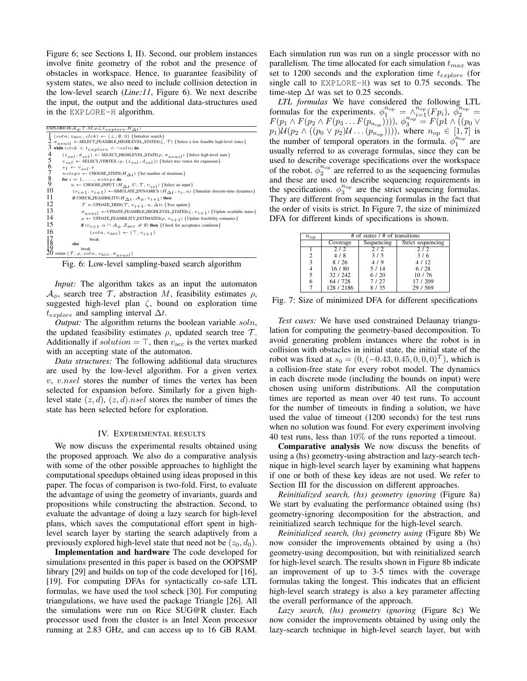Figure 6; see Sections I, II). Second, our problem instances involve finite geometry of the robot and the presence of obstacles in workspace. Hence, to guarantee feasibility of system states, we also need to include collision detection in the low-level search (*Line:11*, Figure 6). We next describe the input, the output and the additional data-structures used in the EXPLORE-H algorithm.

| EXPLORE-H( $A_{\phi}$ , $\mathcal{T}, M, \rho, \zeta, t_{explore}, H_{\Delta t}$ )                                                  |
|-------------------------------------------------------------------------------------------------------------------------------------|
| $1$ (soln, $v_{\text{acc}}$ , clck) $\leftarrow$ ( $\perp$ , $\emptyset$ , 0) {Initialize search}                                   |
| $2\sigma_{avail}$ $\leftarrow$ SELECT_FEASIBLE_HIGHLEVEL_STATES( $\zeta$ , $\tau$ ) {Select a few feasible high-level states}       |
| $\beta$ while (clck $\lt t_{explore} \wedge \neg soln)$ do                                                                          |
| 4<br>$(z_{self}, d_{self}) \leftarrow$ SELECT_HIGHLEVEL_STATE( $\rho$ , $\sigma_{apiail}$ ) { Select high-level state}              |
| 5<br>$v_{self} \leftarrow$ SELECT. VERTEX $(\rho, (z_{self}, d_{self}))$ {Select tree vertex for expansion}                         |
| 6<br>$s_1 \leftarrow v_{sel}.s$                                                                                                     |
| 7<br>$nsteps \leftarrow \text{CHOOSE\_STEPS}(H \wedge_{\mathcal{F}})$ {Set number of iterations}                                    |
| $\frac{8}{9}$<br>for $i = 1, \ldots, nsteps$ do                                                                                     |
| $u \leftarrow$ CHOOSE_INPUT $(H \wedge_t U, \mathcal{T}, v_{self})$ {Select an input}                                               |
| 10<br>$(s_{i+1}, v_{i+1}) \leftarrow$ SIMULATE_DYNAMICS $(H_{\Delta t}, s_i, u)$ {Simulate discrete-time dynamics}                  |
| 11<br>if CHECK_FEASIBILITY( $H_{\Delta t}$ , $\mathcal{A}_{\phi}$ , $v_{i+1}$ ) then                                                |
| 12<br>$\mathcal{T}$ $\leftarrow$ UPDATE_TREE( $\mathcal{T}$ , $v_{i+1}$ , $u$ , $\Delta t$ ) {Tree update}                          |
| 13<br>$\sigma_{\alpha \nu \alpha i l} \leftarrow \text{UPDATE-FEASIBLE-HIGHLEVEL-STATES}(\zeta, v_{i+1})$ {Update available states} |
| 14<br>$\rho \leftarrow$ UPDATE_FEASBILITY_ESTIMATES( $\rho$ , $v_{i+1}$ ) {Update feasibility estimates}                            |
| 15<br>if $(v_{i+1} \cdot \alpha \cap A_{\phi} \cdot Z_{\text{acc}} \neq \emptyset)$ then {Check for acceptance condition}           |
| 16<br>$(soln, v_{\text{acc}}) \leftarrow (\top, v_{i+1})$                                                                           |
| break                                                                                                                               |
| $\frac{17}{18}$<br>else                                                                                                             |
| break<br>return $(\mathcal{T}, \rho, soln, v_{\text{acc}}, \sigma_{avail})$                                                         |
|                                                                                                                                     |

Fig. 6: Low-level sampling-based search algorithm

*Input:* The algorithm takes as an input the automaton  $\mathcal{A}_{\phi}$ , search tree T, abstraction M, feasibility estimates  $\rho$ , suggested high-level plan  $\zeta$ , bound on exploration time  $t_{explore}$  and sampling interval  $\Delta t$ .

*Output:* The algorithm returns the boolean variable soln, the updated feasibility estimates  $\rho$ , updated search tree  $\mathcal{T}$ . Additionally if  $solution = \top$ , then  $v_{\text{acc}}$  is the vertex marked with an accepting state of the automaton.

*Data structures:* The following additional data structures are used by the low-level algorithm. For a given vertex v, v.nsel stores the number of times the vertex has been selected for expansion before. Similarly for a given highlevel state  $(z, d)$ ,  $(z, d)$ .nsel stores the number of times the state has been selected before for exploration.

## IV. EXPERIMENTAL RESULTS

We now discuss the experimental results obtained using the proposed approach. We also do a comparative analysis with some of the other possible approaches to highlight the computational speedups obtained using ideas proposed in this paper. The focus of comparison is two-fold. First, to evaluate the advantage of using the geometry of invariants, guards and propositions while constructing the abstraction. Second, to evaluate the advantage of doing a lazy search for high-level plans, which saves the computational effort spent in highlevel search layer by starting the search adaptively from a previously explored high-level state that need not be  $(z_0, d_0)$ .

Implementation and hardware The code developed for simulations presented in this paper is based on the OOPSMP library [29] and builds on top of the code developed for [16], [19]. For computing DFAs for syntactically co-safe LTL formulas, we have used the tool scheck [30]. For computing triangulations, we have used the package Triangle [26]. All the simulations were run on Rice SUG@R cluster. Each processor used from the cluster is an Intel Xeon processor running at 2.83 GHz, and can access up to 16 GB RAM.

Each simulation run was run on a single processor with no parallelism. The time allocated for each simulation  $t_{max}$  was set to 1200 seconds and the exploration time  $t_{explore}$  (for single call to EXPLORE-H) was set to 0.75 seconds. The time-step  $\Delta t$  was set to 0.25 seconds.

*LTL formulas* We have considered the following LTL formulas for the experiments.  $\phi_1^{n_{\text{op}}} = \wedge_{i=1}^{n_{\text{op}}} (F p_i), \ \phi_2^{n_{\text{op}}} =$  $F(p_1 \wedge F(p_2 \wedge F(p_3 \dots F(p_{n_{\text{op}})})))$ ,  $\phi_3^{n_{\text{op}}} = F(p_1 \wedge \tilde{(p_0 \vee p_1)})$  $p_1)U(p_2 \wedge ((p_0 \vee p_2)U \dots (p_{n_{\text{op}}}))))$ , where  $n_{\text{op}} \in [1,7]$  is the number of temporal operators in the formula.  $\phi_1^{n_{\rm op}}$  are usually referred to as coverage formulas, since they can be used to describe coverage specifications over the workspace of the robot.  $\phi_2^{n_{\text{op}}}$  are referred to as the sequencing formulas and these are used to describe sequencing requirements in the specifications.  $\phi_3^{n_{\text{op}}}$  are the strict sequencing formulas. They are different from sequencing formulas in the fact that the order of visits is strict. In Figure 7, the size of minimized DFA for different kinds of specifications is shown.

| $n_{\rm op}$ | # of states $/$ # of transitions |               |                   |  |  |  |  |
|--------------|----------------------------------|---------------|-------------------|--|--|--|--|
|              | Coverage                         | Sequencing    | Strict sequencing |  |  |  |  |
|              | 2/2                              | $\frac{2}{2}$ | 2/2               |  |  |  |  |
| 2            | 4/8                              | 3/5           | 3/6               |  |  |  |  |
| 3            | 8/26                             | 4/9           | 4/12              |  |  |  |  |
|              | 16/80                            | 5/14          | 6/28              |  |  |  |  |
| 5            | 32 / 242                         | 6/20          | 10/76             |  |  |  |  |
|              | 64 / 728                         | 7/27          | 17 / 209          |  |  |  |  |
|              | 128 / 2186                       | 8/35          | 29 / 569          |  |  |  |  |

Fig. 7: Size of minimized DFA for different specifications

*Test cases:* We have used constrained Delaunay triangulation for computing the geometry-based decomposition. To avoid generating problem instances where the robot is in collision with obstacles in initial state, the initial state of the robot was fixed at  $s_0 = (0, (-0.43, 0.45, 0, 0, 0)^T)$ , which is a collision-free state for every robot model. The dynamics in each discrete mode (including the bounds on input) were chosen using uniform distributions. All the computation times are reported as mean over 40 test runs. To account for the number of timeouts in finding a solution, we have used the value of timeout (1200 seconds) for the test runs when no solution was found. For every experiment involving 40 test runs, less than 10% of the runs reported a timeout.

Comparative analysis We now discuss the benefits of using a (hs) geometry-using abstraction and lazy-search technique in high-level search layer by examining what happens if one or both of these key ideas are not used. We refer to Section III for the discussion on different approaches.

*Reinitialized search, (hs) geometry ignoring* (Figure 8a) We start by evaluating the performance obtained using (hs) geometry-ignoring decomposition for the abstraction, and reinitialized search technique for the high-level search.

*Reinitialized search, (hs) geometry using* (Figure 8b) We now consider the improvements obtained by using a (hs) geometry-using decomposition, but with reinitialized search for high-level search. The results shown in Figure 8b indicate an improvement of up to 3-5 times with the coverage formulas taking the longest. This indicates that an efficient high-level search strategy is also a key parameter affecting the overall performance of the approach.

*Lazy search, (hs) geometry ignoring* (Figure 8c) We now consider the improvements obtained by using only the lazy-search technique in high-level search layer, but with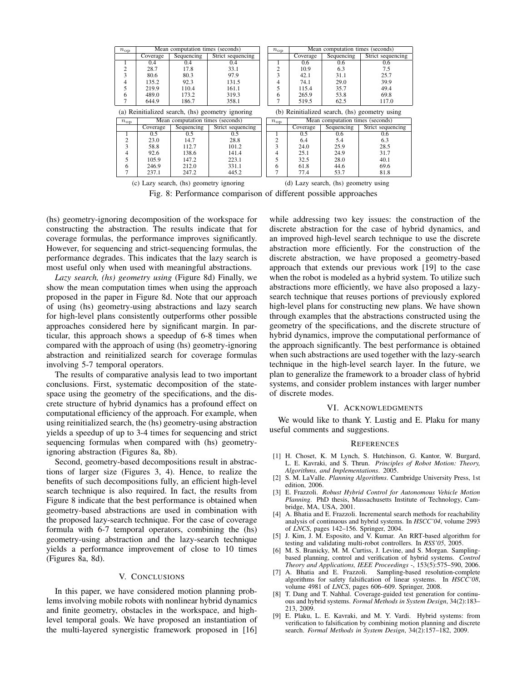| $n_{\mathrm{op}}$                                | Mean computation times (seconds) |            | $n_{\rm op}$                                  | Mean computation times (seconds) |          |                                  |                   |
|--------------------------------------------------|----------------------------------|------------|-----------------------------------------------|----------------------------------|----------|----------------------------------|-------------------|
|                                                  | Coverage                         | Sequencing | Strict sequencing                             |                                  | Coverage | Sequencing                       | Strict sequencing |
| 1                                                | 0.4                              | 0.4        | 0.4                                           |                                  | 0.6      | 0.6                              | 0.6               |
| 2                                                | 28.7                             | 17.8       | 33.1                                          | $\overline{2}$                   | 10.9     | 6.3                              | 7.5               |
| 3                                                | 80.6                             | 80.3       | 97.9                                          | 3                                | 42.1     | 31.1                             | 25.7              |
| 4                                                | 135.2                            | 92.3       | 131.5                                         | 4                                | 74.1     | 29.0                             | 39.9              |
| 5                                                | 219.9                            | 110.4      | 161.1                                         | 5                                | 115.4    | 35.7                             | 49.4              |
| 6                                                | 489.0                            | 173.2      | 319.3                                         | 6                                | 265.9    | 53.8                             | 69.8              |
| 7                                                | 644.9                            | 186.7      | 358.1                                         |                                  | 519.5    | 62.5                             | 117.0             |
| (a) Reinitialized search, (hs) geometry ignoring |                                  |            | (b) Reinitialized search, (hs) geometry using |                                  |          |                                  |                   |
|                                                  | Mean computation times (seconds) |            |                                               |                                  |          |                                  |                   |
| $n_{\rm op}$                                     |                                  |            |                                               | $n_{\rm op}$                     |          | Mean computation times (seconds) |                   |
|                                                  | Coverage                         | Sequencing | Strict sequencing                             |                                  | Coverage | Sequencing                       | Strict sequencing |
|                                                  | 0.5                              | 0.5        | 0.5                                           |                                  | 0.5      | 0.6                              | 0.6               |
| 2                                                | 23.0                             | 14.7       | 28.8                                          |                                  | 6.4      | 5.4                              | 6.3               |
| 3                                                | 58.8                             | 112.7      | 101.2                                         | 3                                | 24.0     | 25.9                             | 28.5              |
| 4                                                | 92.6                             | 138.6      | 141.4                                         |                                  | 25.1     | 24.9                             | 31.7              |
| 5                                                | 105.9                            | 147.2      | 223.1                                         |                                  | 32.5     | 28.0                             | 40.1              |
| 6                                                | 246.9                            | 212.0      | 331.1                                         | 6                                | 61.8     | 44.6                             | 69.6              |
|                                                  | 237.1                            | 247.2      | 445.2                                         |                                  | 77.4     | 53.7                             | 81.8              |

Fig. 8: Performance comparison of different possible approaches

(hs) geometry-ignoring decomposition of the workspace for constructing the abstraction. The results indicate that for coverage formulas, the performance improves significantly. However, for sequencing and strict-sequencing formulas, the performance degrades. This indicates that the lazy search is most useful only when used with meaningful abstractions.

*Lazy search, (hs) geometry using* (Figure 8d) Finally, we show the mean computation times when using the approach proposed in the paper in Figure 8d. Note that our approach of using (hs) geometry-using abstractions and lazy search for high-level plans consistently outperforms other possible approaches considered here by significant margin. In particular, this approach shows a speedup of 6-8 times when compared with the approach of using (hs) geometry-ignoring abstraction and reinitialized search for coverage formulas involving 5-7 temporal operators.

The results of comparative analysis lead to two important conclusions. First, systematic decomposition of the statespace using the geometry of the specifications, and the discrete structure of hybrid dynamics has a profound effect on computational efficiency of the approach. For example, when using reinitialized search, the (hs) geometry-using abstraction yields a speedup of up to 3-4 times for sequencing and strict sequencing formulas when compared with (hs) geometryignoring abstraction (Figures 8a, 8b).

Second, geometry-based decompositions result in abstractions of larger size (Figures 3, 4). Hence, to realize the benefits of such decompositions fully, an efficient high-level search technique is also required. In fact, the results from Figure 8 indicate that the best performance is obtained when geometry-based abstractions are used in combination with the proposed lazy-search technique. For the case of coverage formula with 6-7 temporal operators, combining the (hs) geometry-using abstraction and the lazy-search technique yields a performance improvement of close to 10 times (Figures 8a, 8d).

# V. CONCLUSIONS

In this paper, we have considered motion planning problems involving mobile robots with nonlinear hybrid dynamics and finite geometry, obstacles in the workspace, and highlevel temporal goals. We have proposed an instantiation of the multi-layered synergistic framework proposed in [16]

while addressing two key issues: the construction of the discrete abstraction for the case of hybrid dynamics, and an improved high-level search technique to use the discrete abstraction more efficiently. For the construction of the discrete abstraction, we have proposed a geometry-based approach that extends our previous work [19] to the case when the robot is modeled as a hybrid system. To utilize such abstractions more efficiently, we have also proposed a lazysearch technique that reuses portions of previously explored high-level plans for constructing new plans. We have shown through examples that the abstractions constructed using the geometry of the specifications, and the discrete structure of hybrid dynamics, improve the computational performance of the approach significantly. The best performance is obtained when such abstractions are used together with the lazy-search technique in the high-level search layer. In the future, we plan to generalize the framework to a broader class of hybrid systems, and consider problem instances with larger number of discrete modes.

## VI. ACKNOWLEDGMENTS

We would like to thank Y. Lustig and E. Plaku for many useful comments and suggestions.

#### **REFERENCES**

- [1] H. Choset, K. M Lynch, S. Hutchinson, G. Kantor, W. Burgard, L. E. Kavraki, and S. Thrun. *Principles of Robot Motion: Theory, Algorithms, and Implementations*. 2005.
- [2] S. M. LaValle. *Planning Algorithms*. Cambridge University Press, 1st edition, 2006.
- [3] E. Frazzoli. *Robust Hybrid Control for Autonomous Vehicle Motion Planning*. PhD thesis, Massachusetts Institute of Technology, Cambridge, MA, USA, 2001.
- [4] A. Bhatia and E. Frazzoli. Incremental search methods for reachability analysis of continuous and hybrid systems. In *HSCC'04*, volume 2993 of *LNCS*, pages 142–156. Springer, 2004.
- [5] J. Kim, J. M. Esposito, and V. Kumar. An RRT-based algorithm for testing and validating multi-robot controllers. In *RSS'05*, 2005.
- [6] M. S. Branicky, M. M. Curtiss, J. Levine, and S. Morgan. Samplingbased planning, control and verification of hybrid systems. *Control Theory and Applications, IEEE Proceedings -*, 153(5):575–590, 2006.
- [7] A. Bhatia and E. Frazzoli. Sampling-based resolution-complete algorithms for safety falsification of linear systems. In *HSCC'08*, volume 4981 of *LNCS*, pages 606–609. Springer, 2008.
- [8] T. Dang and T. Nahhal. Coverage-guided test generation for continuous and hybrid systems. *Formal Methods in System Design*, 34(2):183– 213, 2009.
- [9] E. Plaku, L. E. Kavraki, and M. Y. Vardi. Hybrid systems: from verification to falsification by combining motion planning and discrete search. *Formal Methods in System Design*, 34(2):157–182, 2009.